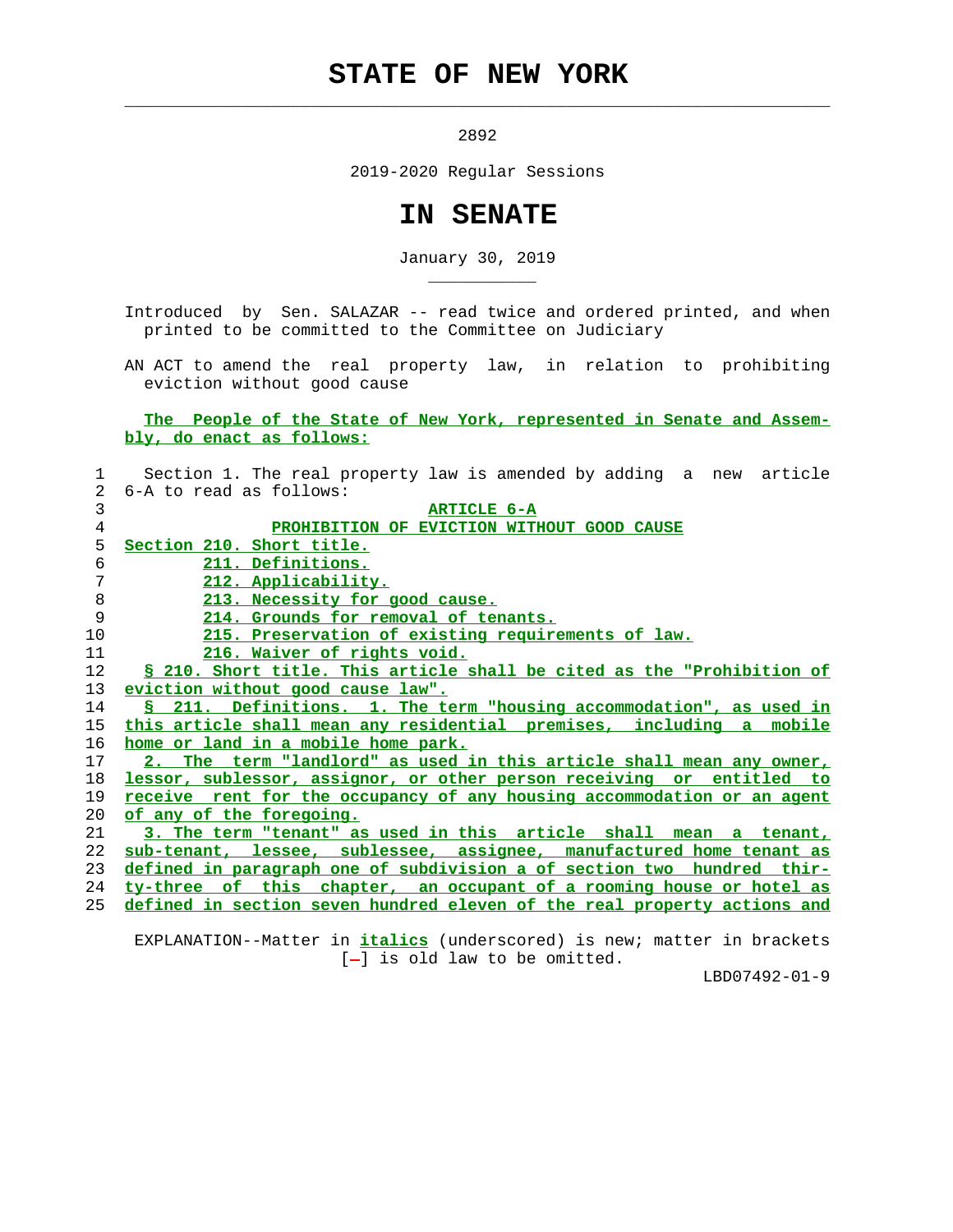## **STATE OF NEW YORK**

 $\mathcal{L}_\text{max} = \frac{1}{2} \sum_{i=1}^{n} \frac{1}{2} \sum_{i=1}^{n} \frac{1}{2} \sum_{i=1}^{n} \frac{1}{2} \sum_{i=1}^{n} \frac{1}{2} \sum_{i=1}^{n} \frac{1}{2} \sum_{i=1}^{n} \frac{1}{2} \sum_{i=1}^{n} \frac{1}{2} \sum_{i=1}^{n} \frac{1}{2} \sum_{i=1}^{n} \frac{1}{2} \sum_{i=1}^{n} \frac{1}{2} \sum_{i=1}^{n} \frac{1}{2} \sum_{i=1}^{n} \frac{1$ 

\_\_\_\_\_\_\_\_\_\_\_

2892

2019-2020 Regular Sessions

## **IN SENATE**

January 30, 2019

 Introduced by Sen. SALAZAR -- read twice and ordered printed, and when printed to be committed to the Committee on Judiciary

 AN ACT to amend the real property law, in relation to prohibiting eviction without good cause

 **The People of the State of New York, represented in Senate and Assem bly, do enact as follows:**

| 1       | Section 1. The real property law is amended by adding a new article      |
|---------|--------------------------------------------------------------------------|
| 2       | 6-A to read as follows:                                                  |
| 3       | <b>ARTICLE 6-A</b>                                                       |
| 4       | PROHIBITION OF EVICTION WITHOUT GOOD CAUSE                               |
| 5       | Section 210. Short title.                                                |
| 6       | 211. Definitions.                                                        |
| 7       | 212. Applicability.                                                      |
| $\,8\,$ | 213. Necessity for good cause.                                           |
| 9       | 214. Grounds for removal of tenants.                                     |
| 10      | 215. Preservation of existing requirements of law.                       |
| 11      | <u>216. Waiver of rights void.</u>                                       |
| 12      | § 210. Short title. This article shall be cited as the "Prohibition of   |
| 13      | eviction without good cause law".                                        |
| 14      | S 211. Definitions. 1. The term "housing accommodation", as used in      |
| 15      | this article shall mean any residential premises, including a mobile     |
| 16      | home or land in a mobile home park.                                      |
| 17      | 2. The term "landlord" as used in this article shall mean any owner,     |
| 18      | lessor, sublessor, assignor, or other person receiving or entitled to    |
| 19      | receive rent for the occupancy of any housing accommodation or an agent  |
| 20      | of any of the foregoing.                                                 |
| 21      | 3. The term "tenant" as used in this article shall mean a tenant,        |
| 22      | sub-tenant, lessee, sublessee, assignee, manufactured home tenant as     |
| 23      | defined in paragraph one of subdivision a of section two hundred thir-   |
| 24      | ty-three of this chapter, an occupant of a rooming house or hotel as     |
| 25      | defined in section seven hundred eleven of the real property actions and |
|         |                                                                          |

 EXPLANATION--Matter in **italics** (underscored) is new; matter in brackets [-] is old law to be omitted.

LBD07492-01-9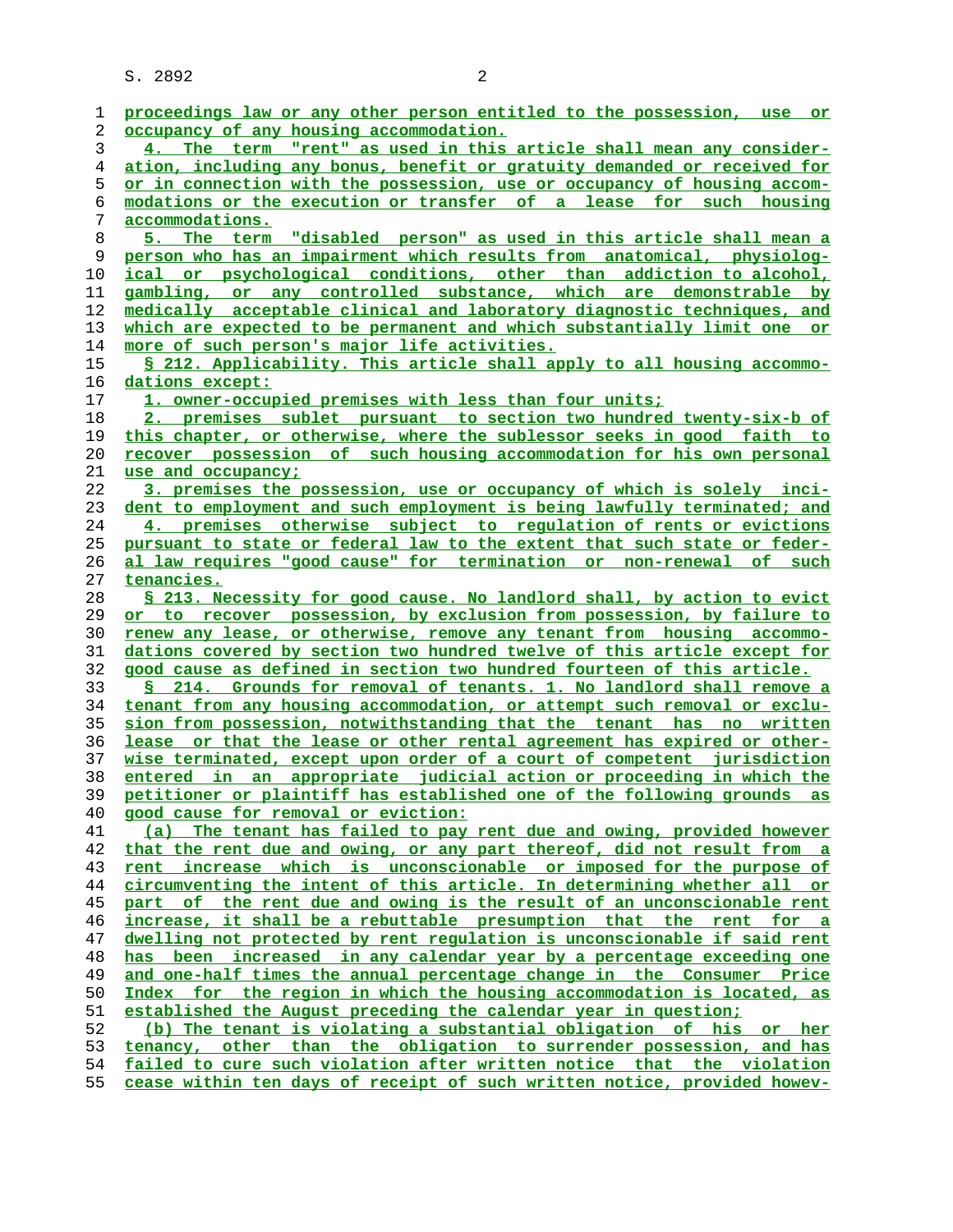S. 2892 2

| 1  | proceedings law or any other person entitled to the possession, use or   |
|----|--------------------------------------------------------------------------|
| 2  | occupancy of any housing accommodation.                                  |
| 3  | 4. The term "rent" as used in this article shall mean any consider-      |
| 4  | ation, including any bonus, benefit or gratuity demanded or received for |
| 5  | or in connection with the possession, use or occupancy of housing accom- |
| 6  | modations or the execution or transfer of a lease for such housing       |
| 7  | accommodations.                                                          |
| 8  | 5. The term "disabled person" as used in this article shall mean a       |
| 9  | person who has an impairment which results from anatomical, physiolog-   |
| 10 | or psychological conditions, other than addiction to alcohol,<br>ical    |
| 11 | gambling, or any controlled substance, which are demonstrable by         |
| 12 | medically acceptable clinical and laboratory diagnostic techniques, and  |
| 13 | which are expected to be permanent and which substantially limit one or  |
| 14 | more of such person's major life activities.                             |
| 15 | \$ 212. Applicability. This article shall apply to all housing accommo-  |
| 16 | dations except:                                                          |
|    |                                                                          |
| 17 | 1. owner-occupied premises with less than four units;                    |
| 18 | 2. premises sublet pursuant to section two hundred twenty-six-b of       |
| 19 | this chapter, or otherwise, where the sublessor seeks in good faith to   |
| 20 | recover possession of such housing accommodation for his own personal    |
| 21 | use and occupancy;                                                       |
| 22 | 3. premises the possession, use or occupancy of which is solely inci-    |
| 23 | dent to employment and such employment is being lawfully terminated; and |
| 24 | 4. premises otherwise subject to regulation of rents or evictions        |
| 25 | pursuant to state or federal law to the extent that such state or feder- |
| 26 | al law requires "good cause" for termination or non-renewal of such      |
| 27 | tenancies.                                                               |
| 28 | \$ 213. Necessity for good cause. No landlord shall, by action to evict  |
| 29 | or to recover possession, by exclusion from possession, by failure to    |
| 30 | renew any lease, or otherwise, remove any tenant from housing accommo-   |
| 31 | dations covered by section two hundred twelve of this article except for |
| 32 | good cause as defined in section two hundred fourteen of this article.   |
| 33 | 214. Grounds for removal of tenants. 1. No landlord shall remove a<br>S. |
| 34 | tenant from any housing accommodation, or attempt such removal or exclu- |
| 35 | sion from possession, notwithstanding that the tenant has no written     |
| 36 | lease or that the lease or other rental agreement has expired or other-  |
| 37 | wise terminated, except upon order of a court of competent jurisdiction  |
| 38 | entered in an appropriate judicial action or proceeding in which the     |
| 39 | petitioner or plaintiff has established one of the following grounds as  |
| 40 | good cause for removal or eviction:                                      |
| 41 | (a) The tenant has failed to pay rent due and owing, provided however    |
| 42 | that the rent due and owing, or any part thereof, did not result from a  |
| 43 | rent increase which is unconscionable or imposed for the purpose of      |
| 44 | circumventing the intent of this article. In determining whether all or  |
| 45 | part of the rent due and owing is the result of an unconscionable rent   |
| 46 | increase, it shall be a rebuttable presumption that the rent for a       |
| 47 | dwelling not protected by rent regulation is unconscionable if said rent |
| 48 | been increased in any calendar year by a percentage exceeding one<br>has |
| 49 | and one-half times the annual percentage change in the Consumer Price    |
| 50 | Index for the region in which the housing accommodation is located, as   |
| 51 | established the August preceding the calendar year in question;          |
| 52 | (b) The tenant is violating a substantial obligation of his or her       |
| 53 | tenancy, other than the obligation to surrender possession, and has      |
| 54 | failed to cure such violation after written notice that the violation    |

**cease within ten days of receipt of such written notice, provided howev-**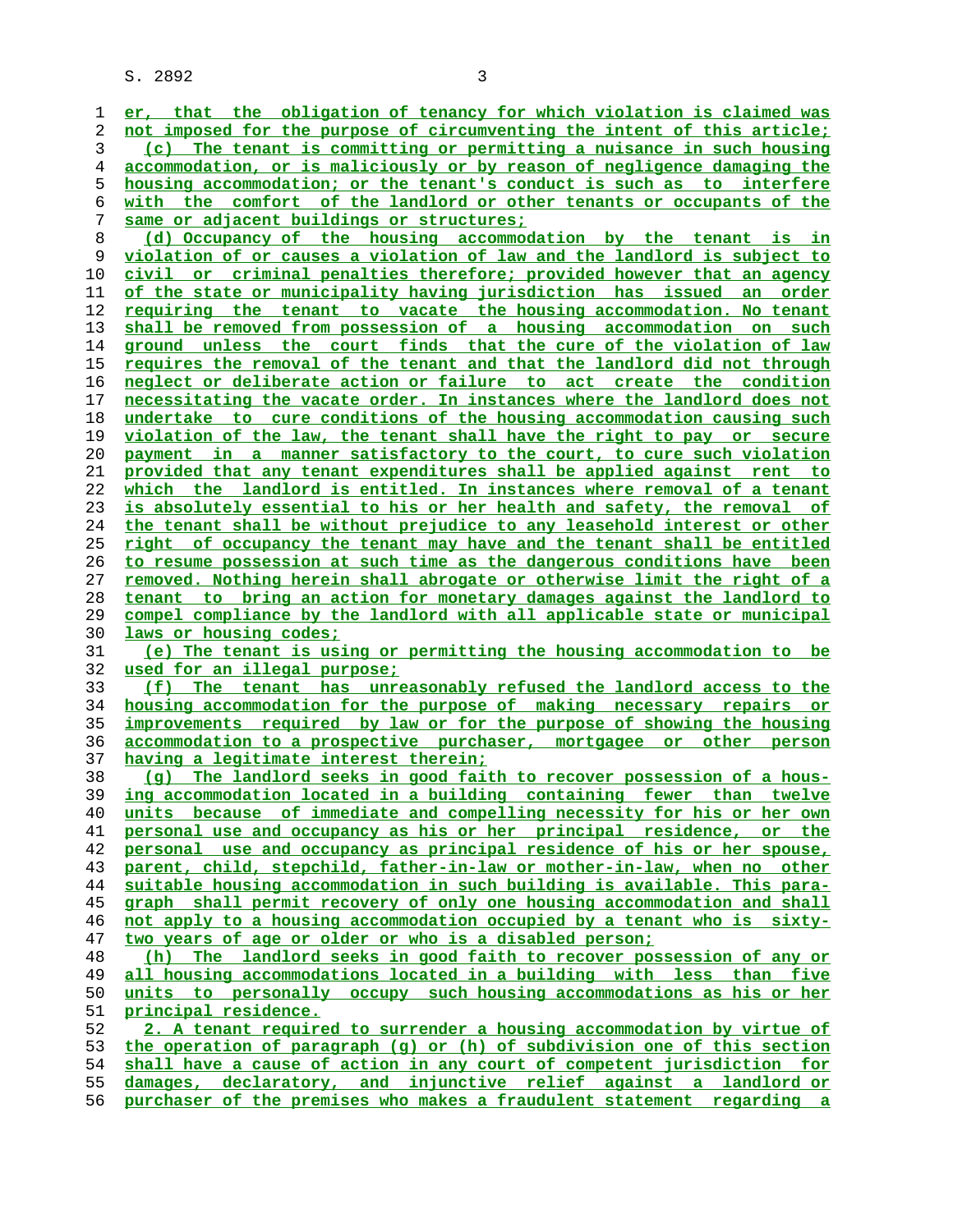S. 2892 3

**er, that the obligation of tenancy for which violation is claimed was not imposed for the purpose of circumventing the intent of this article; (c) The tenant is committing\_or permitting a nuisance in such housing**

**accommodation, or is maliciously or by reason of negligence damaging the housing accommodation; or the tenant's conduct is such as to interfere with the comfort of the landlord or other tenants or occupants of the same or adjacent buildings or structures;**

**(d) Occupancy of the housing accommodation by the tenant is in violation of or causes a violation of law and the landlord is subject to civil or criminal penalties therefore; provided however that an agency of the state or municipality having jurisdiction has issued an order requiring the tenant to vacate the housing accommodation. No tenant shall be removed from possession of a housing accommodation on such ground unless the court finds that the cure of the violation of law requires the removal of the tenant and that the landlord did not through neglect or deliberate action or failure to act create the condition necessitating the vacate order. In instances where the landlord does not undertake to cure conditions of the housing accommodation causing such violation of the law, the tenant shall have the right to pay or secure payment in a manner satisfactory to the court, to cure such violation provided that any tenant expenditures shall be applied against rent to which the landlord is entitled. In instances where removal of a tenant is absolutely essential to his or her health and safety, the removal of the tenant shall be without prejudice to any leasehold interest or other right of occupancy the tenant may have and the tenant shall be entitled to resume possession at such time as the dangerous conditions have been removed. Nothing herein shall abrogate or otherwise limit the right of a tenant to bring an action for monetary damages against the landlord to compel compliance by the landlord with all applicable state or municipal laws or housing codes; (e) The tenant is using or permitting the housing accommodation to be**

**used for an illegal purpose;**

**(f) The tenant has unreasonably refused the landlord access to the housing accommodation for the purpose of making necessary repairs or improvements required by law or for the purpose of showing the housing accommodation to a prospective purchaser, mortgagee or other person having a legitimate interest therein;**

**(g) The landlord seeks in good faith to recover possession of a hous- ing accommodation located in a building containing fewer than twelve units because of immediate and compelling necessity for his or her own personal use and occupancy as his or her principal residence, or the personal use and occupancy as principal residence of his or her spouse, parent, child, stepchild, father-in-law or mother-in-law, when no other suitable housing accommodation in such building is available. This para- graph shall permit recovery of only one housing accommodation and shall not apply to a housing accommodation occupied by a tenant who is sixty- two years of age or older or who is a disabled person; (h) The landlord seeks in good faith to recover possession of any or**

**all housing accommodations located in a building with less than five units to personally occupy such housing accommodations as his or her principal residence.**

**2. A tenant required to surrender a housing accommodation by virtue of the operation of paragraph (g) or (h) of subdivision one of this section shall have a cause of action in any court of competent jurisdiction for damages, declaratory, and injunctive relief against a landlord or purchaser of the premises who makes a fraudulent statement regarding a**